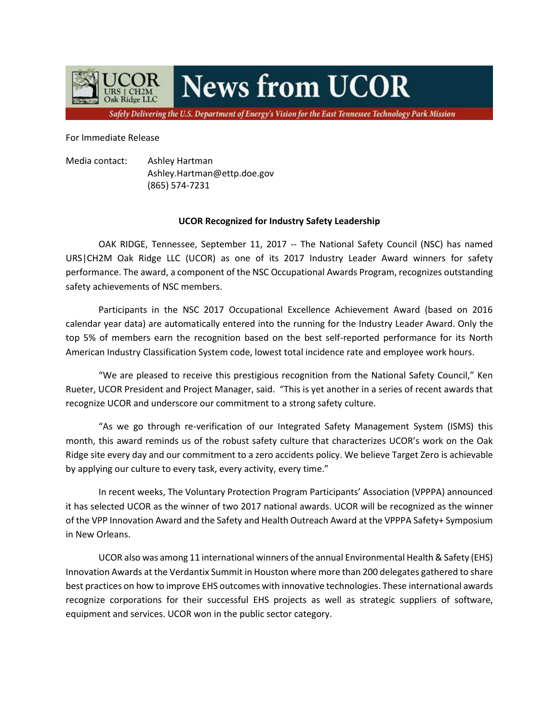

## **News from UCOR**

Safely Delivering the U.S. Department of Energy's Vision for the East Tennessee Technology Park Mission

For Immediate Release

Media contact: Ashley Hartman Ashley.Hartman@ettp.doe.gov (865) 574-7231

## **UCOR Recognized for Industry Safety Leadership**

OAK RIDGE, Tennessee, September 11, 2017 -- The National Safety Council (NSC) has named URS|CH2M Oak Ridge LLC (UCOR) as one of its 2017 Industry Leader Award winners for safety performance. The award, a component of the NSC Occupational Awards Program, recognizes outstanding safety achievements of NSC members.

Participants in the NSC 2017 Occupational Excellence Achievement Award (based on 2016 calendar year data) are automatically entered into the running for the Industry Leader Award. Only the top 5% of members earn the recognition based on the best self-reported performance for its North American Industry Classification System code, lowest total incidence rate and employee work hours.

"We are pleased to receive this prestigious recognition from the National Safety Council," Ken Rueter, UCOR President and Project Manager, said. "This is yet another in a series of recent awards that recognize UCOR and underscore our commitment to a strong safety culture.

"As we go through re-verification of our Integrated Safety Management System (ISMS) this month, this award reminds us of the robust safety culture that characterizes UCOR's work on the Oak Ridge site every day and our commitment to a zero accidents policy. We believe Target Zero is achievable by applying our culture to every task, every activity, every time."

In recent weeks, The Voluntary Protection Program Participants' Association (VPPPA) announced it has selected UCOR as the winner of two 2017 national awards. UCOR will be recognized as the winner of the VPP Innovation Award and the Safety and Health Outreach Award at the VPPPA Safety+ Symposium in New Orleans.

UCOR also was among 11 international winners of the annual Environmental Health & Safety (EHS) Innovation Awards at the Verdantix Summit in Houston where more than 200 delegates gathered to share best practices on how to improve EHS outcomes with innovative technologies. These international awards recognize corporations for their successful EHS projects as well as strategic suppliers of software, equipment and services. UCOR won in the public sector category.